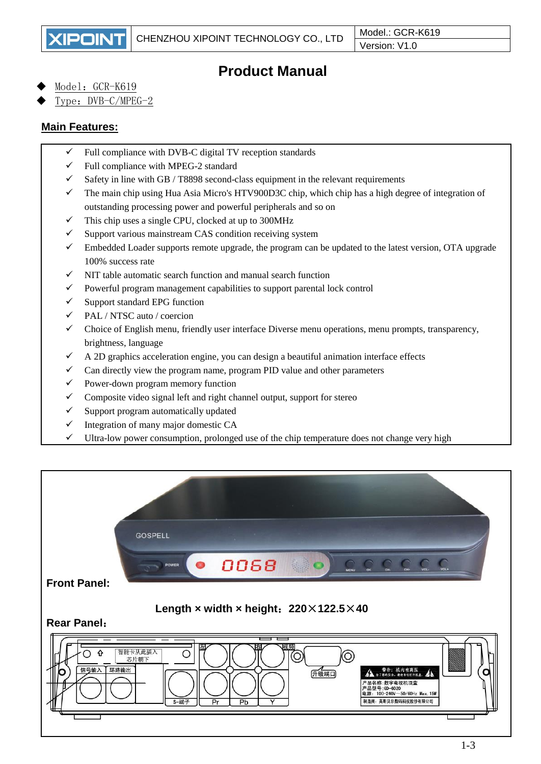# **Product Manual**

Model: GCR-K619

Type: DVB-C/MPEG-2

### **Main Features:**

- $\checkmark$  Full compliance with DVB-C digital TV reception standards
- $\checkmark$  Full compliance with MPEG-2 standard
- $\checkmark$  Safety in line with GB / T8898 second-class equipment in the relevant requirements
- ✓ The main chip using Hua Asia Micro's HTV900D3C chip, which chip has a high degree of integration of outstanding processing power and powerful peripherals and so on
- $\checkmark$  This chip uses a single CPU, clocked at up to 300MHz
- $\checkmark$  Support various mainstream CAS condition receiving system
- $\checkmark$  Embedded Loader supports remote upgrade, the program can be updated to the latest version, OTA upgrade 100% success rate
- $\checkmark$  NIT table automatic search function and manual search function
- ✓ Powerful program management capabilities to support parental lock control
- $\checkmark$  Support standard EPG function
- ✓ PAL / NTSC auto / coercion
- ✓ Choice of English menu, friendly user interface Diverse menu operations, menu prompts, transparency, brightness, language
- A 2D graphics acceleration engine, you can design a beautiful animation interface effects
- $\checkmark$  Can directly view the program name, program PID value and other parameters
- $\checkmark$  Power-down program memory function
- Composite video signal left and right channel output, support for stereo
- ✓ Support program automatically updated
- $\checkmark$  Integration of many major domestic CA
- ✓ Ultra-low power consumption, prolonged use of the chip temperature does not change very high

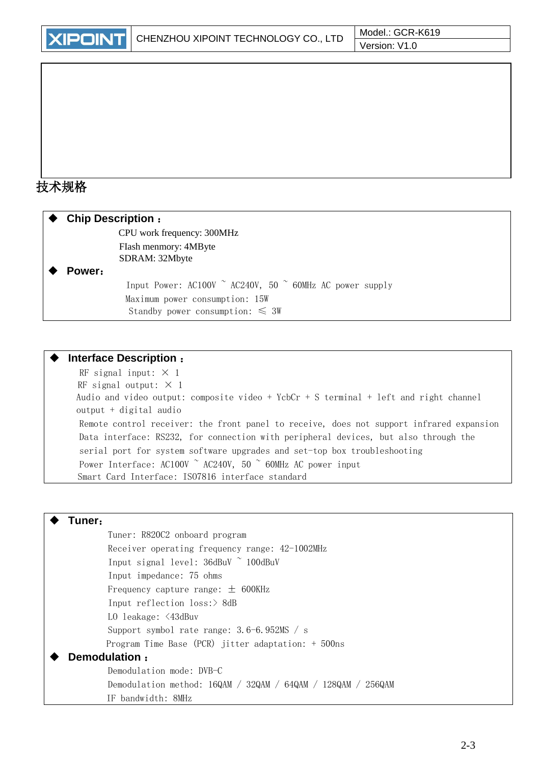# 技术规格

| <b>Chip Description:</b> |                                                                          |
|--------------------------|--------------------------------------------------------------------------|
|                          | CPU work frequency: 300MHz                                               |
|                          | Flash menmory: 4MByte                                                    |
|                          | SDRAM: 32Mbyte                                                           |
| Power:                   |                                                                          |
|                          | Input Power: AC100V $\degree$ AC240V, 50 $\degree$ 60MHz AC power supply |
|                          | Maximum power consumption: 15W                                           |
|                          | Standby power consumption: $\leq 3W$                                     |

#### **Interface Description** :

RF signal input:  $\times$  1 RF signal output:  $\times$  1 Audio and video output: composite video + YcbCr + S terminal + left and right channel output + digital audio Remote control receiver: the front panel to receive, does not support infrared expansion Data interface: RS232, for connection with peripheral devices, but also through the serial port for system software upgrades and set-top box troubleshooting Power Interface: AC100V  $\degree$  AC240V, 50  $\degree$  60MHz AC power input Smart Card Interface: ISO7816 interface standard

#### **Tuner**:

Tuner: R820C2 onboard program Receiver operating frequency range: 42-1002MHz Input signal level: 36dBuV ~ 100dBuV Input impedance: 75 ohms Frequency capture range:  $\pm$  600KHz Input reflection loss:> 8dB LO leakage: <43dBuv Support symbol rate range: 3.6-6.952MS / s Program Time Base (PCR) jitter adaptation: + 500ns **Demodulation** : Demodulation mode: DVB-C Demodulation method: 16QAM / 32QAM / 64QAM / 128QAM / 256QAM IF bandwidth: 8MHz